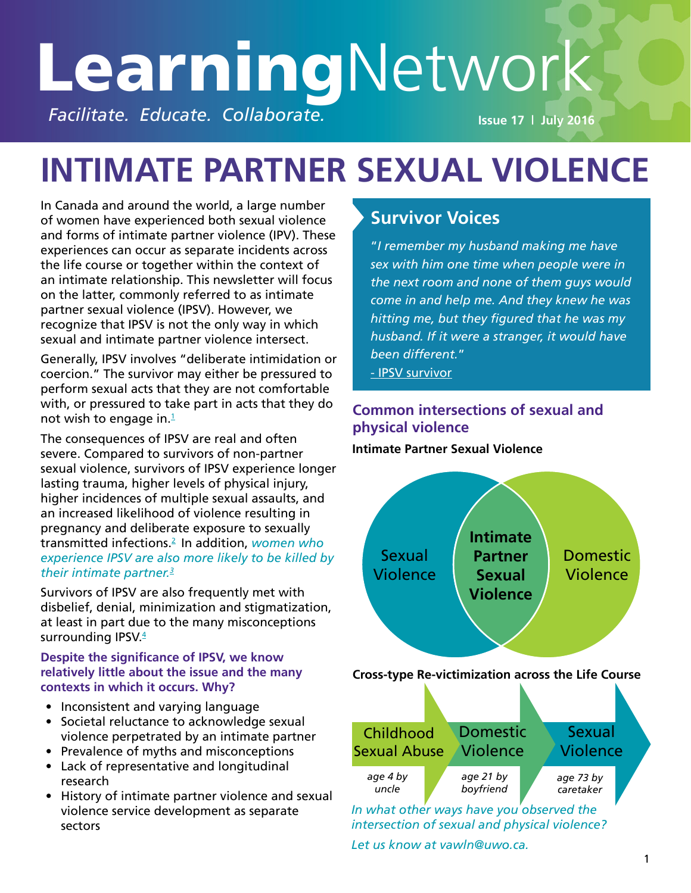# **Learning**Network **Facilitate. Educate. Collaborate. In the Collaborate. Issue 17 | July 2016**

# **INTIMATE PARTNER SEXUAL VIOLENCE**

In Canada and around the world, a large number of women have experienced both sexual violence and forms of intimate partner violence (IPV). These experiences can occur as separate incidents across the life course or together within the context of an intimate relationship. This newsletter will focus on the latter, commonly referred to as intimate partner sexual violence (IPSV). However, we recognize that IPSV is not the only way in which sexual and intimate partner violence intersect.

Generally, IPSV involves "deliberate intimidation or coercion." The survivor may either be pressured to perform sexual acts that they are not comfortable with, or pressured to take part in acts that they do not wish to engage in. $1$ 

The consequences of IPSV are real and often severe. Compared to survivors of non-partner sexual violence, survivors of IPSV experience longer lasting trauma, higher levels of physical injury, higher incidences of multiple sexual assaults, and an increased likelihood of violence resulting in pregnancy and deliberate exposure to sexually transmitted infections[.2](http://www.ncbi.nlm.nih.gov/pubmed/24379191) In addition, *women who experience IPSV are also more likely to be killed by their intimate partner.[3](http://www.ncbi.nlm.nih.gov/pubmed/24379191)*

Survivors of IPSV are also frequently met with disbelief, denial, minimization and stigmatization, at least in part due to the many misconceptions surrounding IPSV. $4$ 

#### **Despite the significance of IPSV, we know relatively little about the issue and the many contexts in which it occurs. Why?**

- Inconsistent and varying language
- Societal reluctance to acknowledge sexual violence perpetrated by an intimate partner
- Prevalence of myths and misconceptions
- Lack of representative and longitudinal research
- History of intimate partner violence and sexual violence service development as separate sectors

#### **Survivor Voices**

"*I remember my husband making me have sex with him one time when people were in the next room and none of them guys would come in and help me. And they knew he was hitting me, but they figured that he was my husband. If it were a stranger, it would have been different.*"

[- IPSV survivor](http://vr2pk9sx9w.scholar.serialssolutions.com/?sid=google&auinit=WS&aulast=DeKeseredy&atitle=Separation/divorce+sexual+assault+in+rural+Ohio:+Survivors%27+perceptions&id=doi:10.1080/10852350802022365&title=Journal+of+prevention+%26+intervention+in+the+com)

#### **Common intersections of sexual and physical violence**

#### **Intimate Partner Sexual Violence**



*intersection of sexual and physical violence?* 

*Let us know at vawln@uwo.ca.*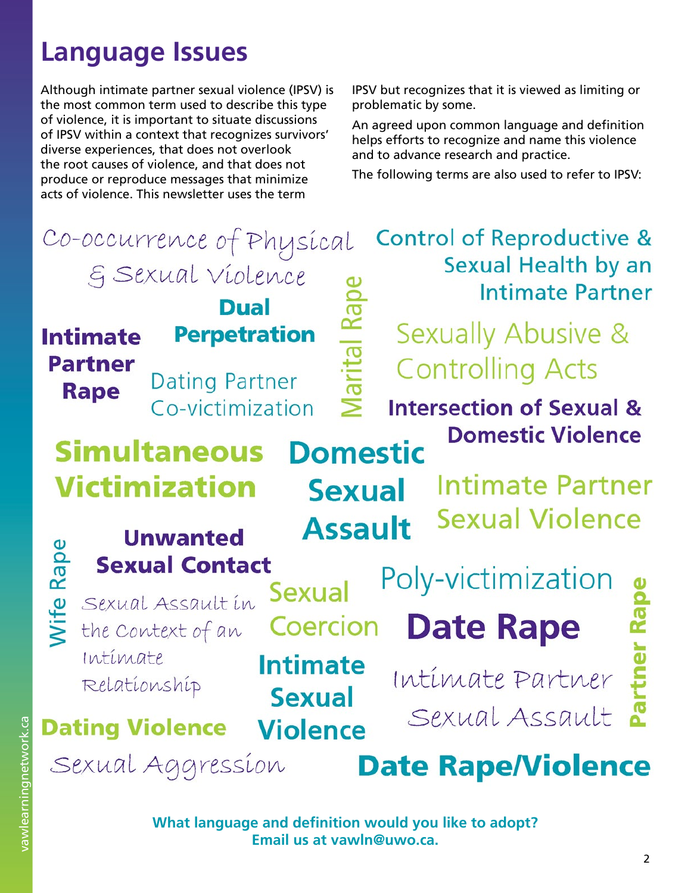## **Language Issues**

Although intimate partner sexual violence (IPSV) is the most common term used to describe this type of violence, it is important to situate discussions of IPSV within a context that recognizes survivors' diverse experiences, that does not overlook the root causes of violence, and that does not produce or reproduce messages that minimize acts of violence. This newsletter uses the term

IPSV but recognizes that it is viewed as limiting or problematic by some.

An agreed upon common language and definition helps efforts to recognize and name this violence and to advance research and practice.

The following terms are also used to refer to IPSV:

| Co-occurrence of Physical<br>E Sexual violence<br><b>Dual</b> |                                                                             |                                                    | <b>Control of Reproductive &amp;</b><br>Sexual Health by an<br><b>Intimate Partner</b> |                                                                                      |  |
|---------------------------------------------------------------|-----------------------------------------------------------------------------|----------------------------------------------------|----------------------------------------------------------------------------------------|--------------------------------------------------------------------------------------|--|
| <b>Intimate</b><br><b>Partner</b><br><b>Rape</b>              | <b>Dating Partner</b><br>Co-victimization                                   | <b>Perpetration</b><br>$\geq$                      |                                                                                        | Sexually Abusive &<br><b>Controlling Acts</b><br><b>Intersection of Sexual &amp;</b> |  |
|                                                               | <b>Simultaneous</b><br><b>Victimization</b><br><b>Unwanted</b>              | <b>Domestic</b><br><b>Sexual</b><br><b>Assault</b> |                                                                                        | <b>Domestic Violence</b><br><b>Intimate Partner</b><br><b>Sexual Violence</b>        |  |
| Rape<br>$\frac{1}{2}$                                         | <b>Sexual Contact</b><br>Sexual Assault in<br>the Context of an<br>Intimate | <b>Sexual</b><br>Coercion<br><b>Intimate</b>       |                                                                                        | Poly-victimization<br><b>Date Rape</b>                                               |  |
|                                                               | Relationship<br><b>Dating Violence</b><br>Sexual Aggression                 | <b>Sexual</b><br><b>Violence</b>                   |                                                                                        | Intimate Partner<br>Sexual Assault<br><b>Date Rape/Violence</b>                      |  |

**What language and definition would you like to adopt? Email us at vawln@uwo.ca.**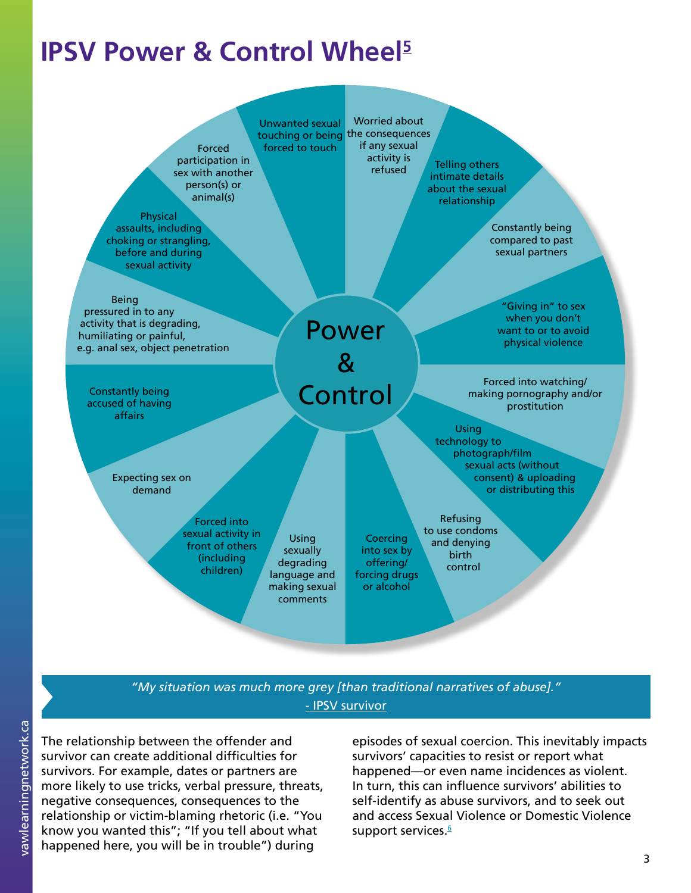## **IPSV Power & Control Wheel [5](https://books.google.ca/books?id=1dnDAQAAQBAJ&pg=PA110&lpg=PA110&dq=mcleod+intimate+partner+sexual+violence+power+and+control+wheel&source=bl&ots=8rOqM6h_t4&sig=7a1lmiGELvRSMut5xYTC4lML4UQ&hl=en&sa=X&ved=0ahUKEwji6vPV_ITNAhUI2IMKHWdPC3wQ6AEILjAC#v=onepage&)**



#### *"My situation was much more grey [than traditional narratives of abuse]."* [- IPSV survivor](http://www.vawlearningnetwork.ca/exploring-intersections-domestic-violence-and-sexual-violence-discussion-paper-informed-february)

The relationship between the offender and survivor can create additional difficulties for survivors. For example, dates or partners are more likely to use tricks, verbal pressure, threats, negative consequences, consequences to the relationship or victim-blaming rhetoric (i.e. "You know you wanted this"; "If you tell about what happened here, you will be in trouble") during

episodes of sexual coercion. This inevitably impacts survivors' capacities to resist or report what happened—or even name incidences as violent. In turn, this can influence survivors' abilities to self-identify as abuse survivors, and to seek out and access Sexual Violence or Domestic Violence support services.<sup>[6](http://www.vawlearningnetwork.ca/exploring-intersections-domestic-violence-and-sexual-violence-discussion-paper-informed-february)</sup>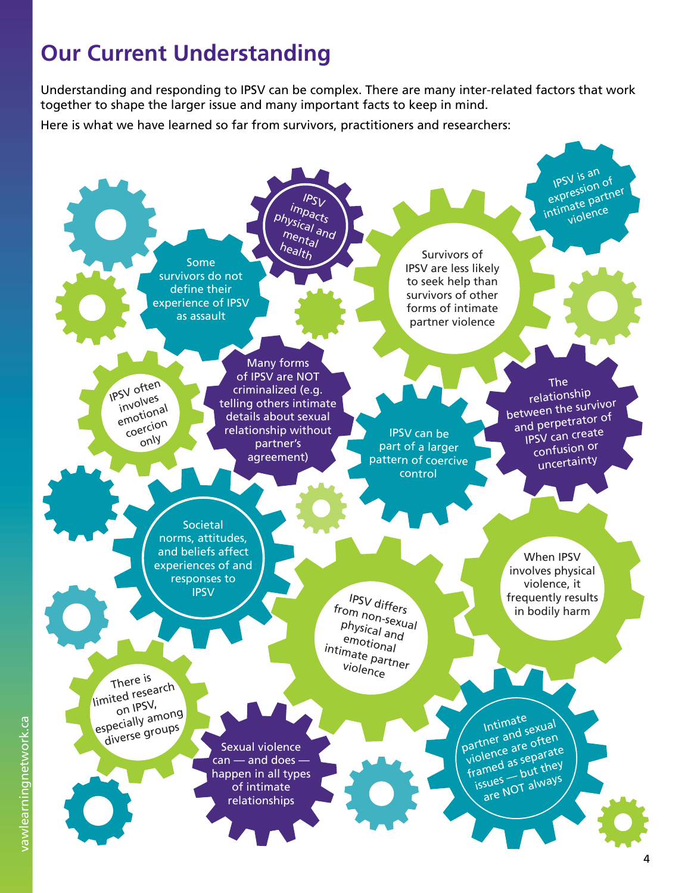## **Our Current Understanding**

Understanding and responding to IPSV can be complex. There are many inter-related factors that work together to shape the larger issue and many important facts to keep in mind.

Here is what we have learned so far from survivors, practitioners and researchers:

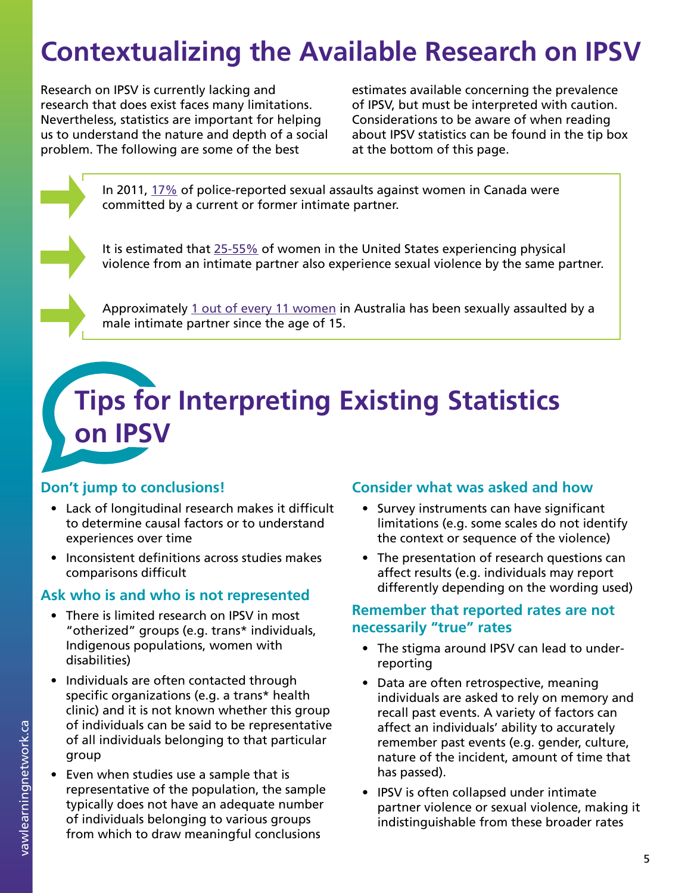## **Contextualizing the Available Research on IPSV**

Research on IPSV is currently lacking and research that does exist faces many limitations. Nevertheless, statistics are important for helping us to understand the nature and depth of a social problem. The following are some of the best

estimates available concerning the prevalence of IPSV, but must be interpreted with caution. Considerations to be aware of when reading about IPSV statistics can be found in the tip box at the bottom of this page.

In 2011, [17%](https://www.google.ca/url?sa=t&rct=j&q=&esrc=s&source=web&cd=1&ved=0ahUKEwiljtXZ_oTNAhWEox4KHSm6DoYQFggnMAA&url=http%3A%2F%2Fwww.statcan.gc.ca%2Fpub%2F85-002-x%2F2013001%2Farticle%2F11766-eng.pdf&usg=AFQjCNHbwilRS3X3I2fJd0uZ_Ny0SAz4sA&sig2=-laXbzKa1sC0uQ8h) of police-reported sexual assaults against women in Canada were committed by a current or former intimate partner.

It is estimated that [25-55%](http://www.ncbi.nlm.nih.gov/pubmed/25561088) of women in the United States experiencing physical violence from an intimate partner also experience sexual violence by the same partner.

Approximately [1 out of every 11 women](https://www.google.ca/url?sa=t&rct=j&q=&esrc=s&source=web&cd=2&cad=rja&uact=8&ved=0ahUKEwiDj_3f_4TNAhVJE1IKHVDnAWkQFggrMAE&url=http%3A%2F%2Fanrows.org.au%2Ffile%2F1354%2Fdownload%3Ftoken%3D3ZzLvwAQ&usg=AFQjCNH1JXAyVewpcNgTJGo-5bZmolIVqQ&sig2=xEpoX9Gsauuako) in Australia has been sexually assaulted by a male intimate partner since the age of 15.

## **Tips for Interpreting Existing Statistics on IPSV**

#### **Don't jump to conclusions!**

- Lack of longitudinal research makes it difficult to determine causal factors or to understand experiences over time
- Inconsistent definitions across studies makes comparisons difficult

#### **Ask who is and who is not represented**

- There is limited research on IPSV in most "otherized" groups (e.g. trans\* individuals, Indigenous populations, women with disabilities)
- Individuals are often contacted through specific organizations (e.g. a trans\* health clinic) and it is not known whether this group of individuals can be said to be representative of all individuals belonging to that particular group
- Even when studies use a sample that is representative of the population, the sample typically does not have an adequate number of individuals belonging to various groups from which to draw meaningful conclusions

#### **Consider what was asked and how**

- Survey instruments can have significant limitations (e.g. some scales do not identify the context or sequence of the violence)
- The presentation of research questions can affect results (e.g. individuals may report differently depending on the wording used)

#### **Remember that reported rates are not necessarily "true" rates**

- The stigma around IPSV can lead to underreporting
- Data are often retrospective, meaning individuals are asked to rely on memory and recall past events. A variety of factors can affect an individuals' ability to accurately remember past events (e.g. gender, culture, nature of the incident, amount of time that has passed).
- IPSV is often collapsed under intimate partner violence or sexual violence, making it indistinguishable from these broader rates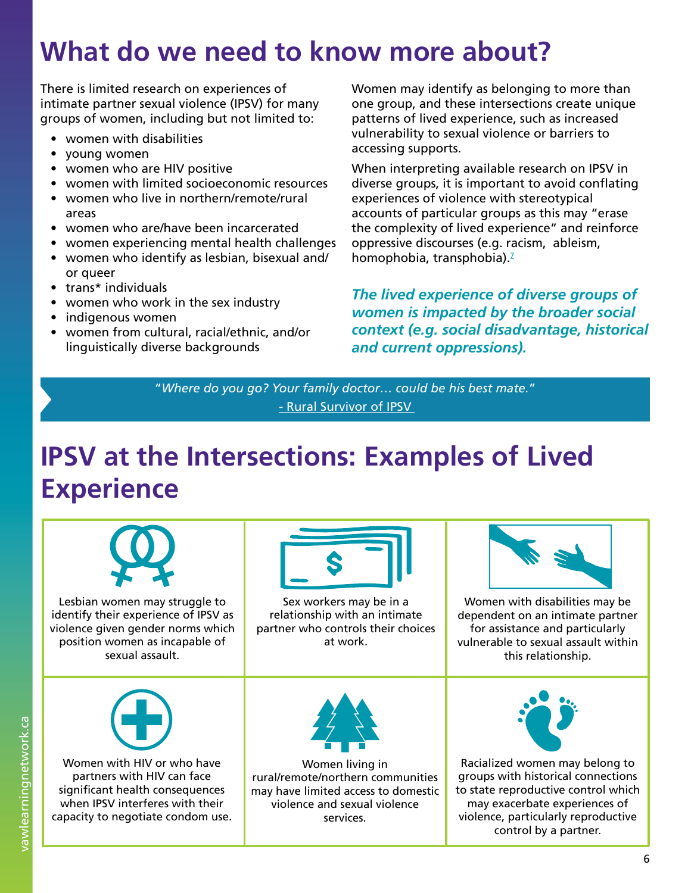## **What do we need to know more about?**

There is limited research on experiences of intimate partner sexual violence (IPSV) for many groups of women, including but not limited to:

- women with disabilities
- young women
- women who are HIV positive
- women with limited socioeconomic resources
- women who live in northern/remote/rural areas
- women who are/have been incarcerated
- women experiencing mental health challenges
- women who identify as lesbian, bisexual and/ or queer
- trans\* individuals
- women who work in the sex industry
- indigenous women
- women from cultural, racial/ethnic, and/or linguistically diverse backgrounds

Women may identify as belonging to more than one group, and these intersections create unique patterns of lived experience, such as increased vulnerability to sexual violence or barriers to accessing supports.

When interpreting available research on IPSV in diverse groups, it is important to avoid conflating experiences of violence with stereotypical accounts of particular groups as this may "erase the complexity of lived experience" and reinforce oppressive discourses (e.g. racism, ableism, homophobia, transphobia).<sup>7</sup>

*The lived experience of diverse groups of women is impacted by the broader social context (e.g. social disadvantage, historical and current oppressions).*

"*Where do you go? Your family doctor… could be his best mate.*" [- Rural Survivor of IPSV](https://books.google.ca/books?id=1dnDAQAAQBAJ&pg=PA270&lpg=PA270&dq=Issues+faced+by+intimatepartner+sexual+violence+survivors+in+rural+areas&source=bl&ots=8rOqM6i_m9&sig=Od03q0ZdGaCcmFCq5wOFcKvKmxc&hl=en&sa=X&ved=0ahUKEwiSmreTgIXNAhUOA1IKHdA4AIUQ6AEIIjAB#v) 

## **IPSV at the Intersections: Examples of Lived Experience**

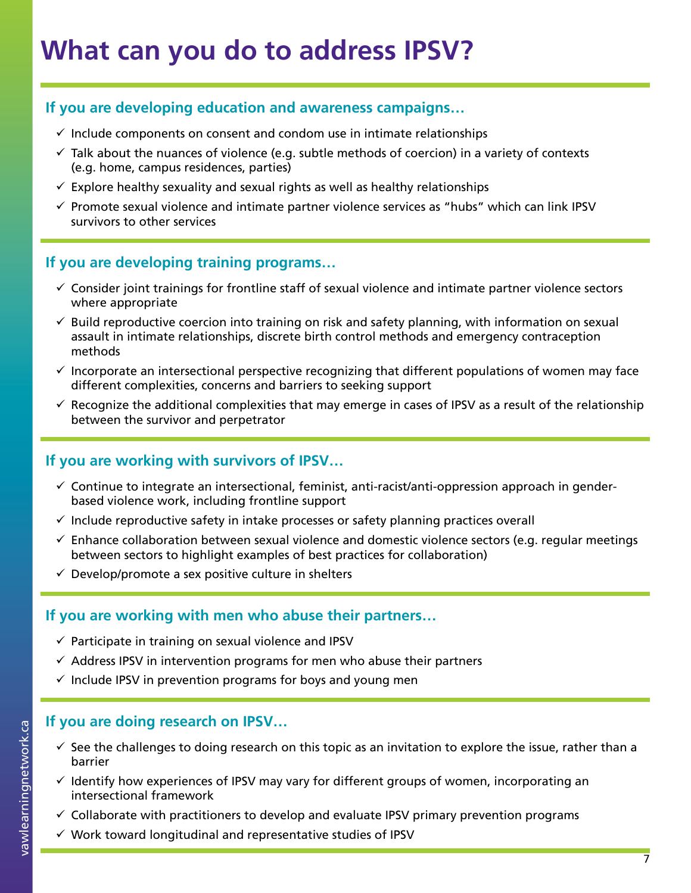#### **If you are developing education and awareness campaigns…**

- $\checkmark$  Include components on consent and condom use in intimate relationships
- $\checkmark$  Talk about the nuances of violence (e.g. subtle methods of coercion) in a variety of contexts (e.g. home, campus residences, parties)
- $\checkmark$  Explore healthy sexuality and sexual rights as well as healthy relationships
- $\checkmark$  Promote sexual violence and intimate partner violence services as "hubs" which can link IPSV survivors to other services

#### **If you are developing training programs…**

- $\checkmark$  Consider joint trainings for frontline staff of sexual violence and intimate partner violence sectors where appropriate
- $\checkmark$  Build reproductive coercion into training on risk and safety planning, with information on sexual assault in intimate relationships, discrete birth control methods and emergency contraception methods
- $\checkmark$  Incorporate an intersectional perspective recognizing that different populations of women may face different complexities, concerns and barriers to seeking support
- $\checkmark$  Recognize the additional complexities that may emerge in cases of IPSV as a result of the relationship between the survivor and perpetrator

#### **If you are working with survivors of IPSV…**

- $\checkmark$  Continue to integrate an intersectional, feminist, anti-racist/anti-oppression approach in genderbased violence work, including frontline support
- $\checkmark$  Include reproductive safety in intake processes or safety planning practices overall
- $\checkmark$  Enhance collaboration between sexual violence and domestic violence sectors (e.g. regular meetings between sectors to highlight examples of best practices for collaboration)
- $\checkmark$  Develop/promote a sex positive culture in shelters

#### **If you are working with men who abuse their partners…**

- $\checkmark$  Participate in training on sexual violence and IPSV
- $\checkmark$  Address IPSV in intervention programs for men who abuse their partners
- $\checkmark$  Include IPSV in prevention programs for boys and young men

#### **If you are doing research on IPSV…**

- $\checkmark$  see the challenges to doing research on this topic as an invitation to explore the issue, rather than a barrier
- $\checkmark$  Identify how experiences of IPSV may vary for different groups of women, incorporating an intersectional framework
- $\checkmark$  Collaborate with practitioners to develop and evaluate IPSV primary prevention programs
- $\checkmark$  Work toward longitudinal and representative studies of IPSV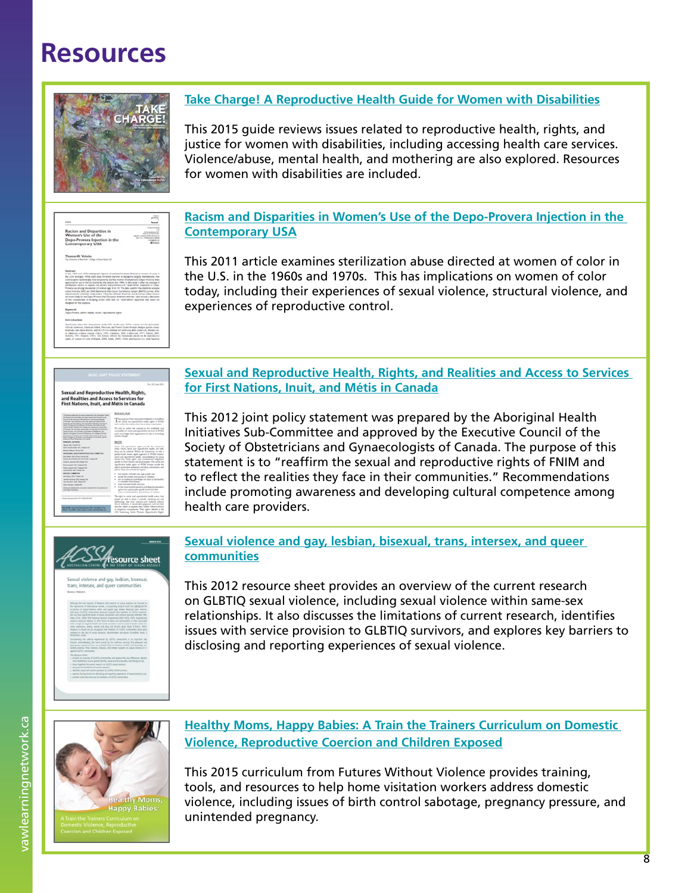## **Resources**



#### **[Take Charge! A Reproductive Health Guide for Women with Disabilities](https://www.accessliving.org/1410ga304)**

This 2015 guide reviews issues related to reproductive health, rights, and justice for women with disabilities, including accessing health care services. Violence/abuse, mental health, and mothering are also explored. Resources for women with disabilities are included.

| <b>Armin</b>                                                                                                                                                                                                                                                                                                                                                                                                                                                                                                                                                                                                                                                                                                                                                                                                                                                                                                                                                                                                                               |                                                                                                              |
|--------------------------------------------------------------------------------------------------------------------------------------------------------------------------------------------------------------------------------------------------------------------------------------------------------------------------------------------------------------------------------------------------------------------------------------------------------------------------------------------------------------------------------------------------------------------------------------------------------------------------------------------------------------------------------------------------------------------------------------------------------------------------------------------------------------------------------------------------------------------------------------------------------------------------------------------------------------------------------------------------------------------------------------------|--------------------------------------------------------------------------------------------------------------|
| Racism and Disparities in<br>Wamen's Use of the<br>Depo-Provera Injection in the<br><b>Contemporary USA</b>                                                                                                                                                                                                                                                                                                                                                                                                                                                                                                                                                                                                                                                                                                                                                                                                                                                                                                                                | <b>K To A Minis R</b><br><b><i><u><u><b>District on the line</b></u></u></i></b><br><b>MAG</b><br><b>HAG</b> |
| Thomas W. Voluchio<br>The Universe of New York - College of Nova Mond LTA.                                                                                                                                                                                                                                                                                                                                                                                                                                                                                                                                                                                                                                                                                                                                                                                                                                                                                                                                                                 |                                                                                                              |
| <b>Abstract</b><br>in the 1965s and 1976s wederground reports of startingston above developed at worker of color in<br>the USA structed. While such close throbed countries or decaptive survice inarcogenies, naw<br>contractive sedentures that temporarily starties women (Norgitark and Depo Provors) wers.<br>approved for use in the US market by the state to the 1990s. In this study 3 offer the concept of<br>particulus nature to asplan the patient and prevalence of "satellistine: degenties to Depo-<br>Providing use among non-startie US woman age 18 to 14. The date used for the material analysis<br>come from the 2003 and 2004 Buhamond Kek Factor Sumathens Second (BAPS) curves After<br>adjustment for potential confoundant. I fled that African American and American Indian women<br>are more likely to use Depo Provers than European American woman. I also include a demotion<br>of the complexities of studying motors with data on "senaltermines disputibles that ware not<br>designed for this purpose. |                                                                                                              |
| <b>Kayan</b>                                                                                                                                                                                                                                                                                                                                                                                                                                                                                                                                                                                                                                                                                                                                                                                                                                                                                                                                                                                                                               |                                                                                                              |
| <b>Butzrackartism</b>                                                                                                                                                                                                                                                                                                                                                                                                                                                                                                                                                                                                                                                                                                                                                                                                                                                                                                                                                                                                                      |                                                                                                              |
| Bombester sheet his a king loanty is do UAA. In the paly 1970s, wants of color principals.<br>Afficer American, Asterican Indian, Mexican, and Puntie Ricard Novado charges against creater<br>brothals, and educt doesn, and the US Coversions for metituring date control ds. decembera-<br>et ellutwine widens externt (David, 1985; Liabizmo, 2008; Littlewood, 1977; Natura, 2003;<br>Roberts, 1997; Slegvin, 1987); This leasey inflicts the binatesian placed on the expendentier<br>rights of women of ones (Sillman, 2004, Smith, 2005). While meetings on the substitutions                                                                                                                                                                                                                                                                                                                                                                                                                                                      |                                                                                                              |

#### **[Racism and Disparities in Women's Use of the Depo-Provera Injection in the](http://crs.sagepub.com/content/early/2011/05/27/0896920510380948)  [Contemporary USA](http://crs.sagepub.com/content/early/2011/05/27/0896920510380948)**

This 2011 article examines sterilization abuse directed at women of color in the U.S. in the 1960s and 1970s. This has implications on women of color today, including their experiences of sexual violence, structural violence, and experiences of reproductive control.

# .<br>Sexual and Reproductive Health, R<br>First Nations, Inuit, and Métis in Ca

#### **[Sexual and Reproductive Health, Rights, and Realities and Access to Services](http://sogc.org/wp-content/uploads/2012/12/gui259PS1106E.pdf)  [for First Nations, Inuit, and Métis in Canada](http://sogc.org/wp-content/uploads/2012/12/gui259PS1106E.pdf)**

This 2012 joint policy statement was prepared by the Aboriginal Health Initiatives Sub-Committee and approved by the Executive Council of the Society of Obstetricians and Gynaecologists of Canada. The purpose of this statement is to "reaffirm the sexual and reproductive rights of FNIM and to reflect the realities they face in their communities." Recommendations include promoting awareness and developing cultural competence among health care providers.



**[Sexual violence and gay, lesbian, bisexual, trans, intersex, and queer](https://aifs.gov.au/publications/sexual-violence-and-gay-lesbian-bisexual-trans-intersex-and-queer-communiti)  [communities](https://aifs.gov.au/publications/sexual-violence-and-gay-lesbian-bisexual-trans-intersex-and-queer-communiti)**

This 2012 resource sheet provides an overview of the current research on GLBTIQ sexual violence, including sexual violence within same-sex relationships. It also discusses the limitations of current research, identifies issues with service provision to GLBTIQ survivors, and explores key barriers to disclosing and reporting experiences of sexual violence.



**[Healthy Moms, Happy Babies: A Train the Trainers Curriculum on Domestic](http://www.vawnet.org/domestic-violence/summary.php?doc_id=3849&find_type=web_desc_TT)  [Violence, Reproductive Coercion and Children Exposed](http://www.vawnet.org/domestic-violence/summary.php?doc_id=3849&find_type=web_desc_TT)**

This 2015 curriculum from Futures Without Violence provides training, tools, and resources to help home visitation workers address domestic violence, including issues of birth control sabotage, pregnancy pressure, and unintended pregnancy.

vawlearningnetwork.ca vawlearningnetwork.ca